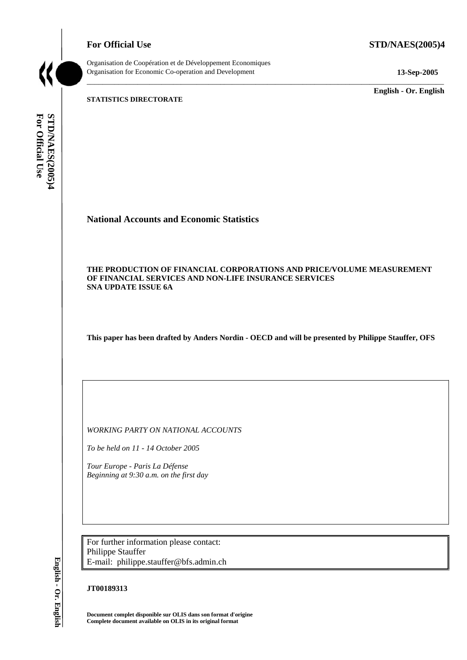**For Official Use STD/NAES(2005)4** 



Organisation de Coopération et de Développement Economiques Organisation for Economic Co-operation and Development **13-Sep-2005** 

\_\_\_\_\_\_\_\_\_\_\_\_\_ **English - Or. English** 

**STATISTICS DIRECTORATE** 

For Official Use STD/NAES(2005)4 **For Official Use STD/NAES(2005)4 English - Or. English**

# **National Accounts and Economic Statistics**

#### **THE PRODUCTION OF FINANCIAL CORPORATIONS AND PRICE/VOLUME MEASUREMENT OF FINANCIAL SERVICES AND NON-LIFE INSURANCE SERVICES SNA UPDATE ISSUE 6A**

\_\_\_\_\_\_\_\_\_\_\_\_\_\_\_\_\_\_\_\_\_\_\_\_\_\_\_\_\_\_\_\_\_\_\_\_\_\_\_\_\_\_\_\_\_\_\_\_\_\_\_\_\_\_\_\_\_\_\_\_\_\_\_\_\_\_\_\_\_\_\_\_\_\_\_\_\_\_\_\_\_\_\_\_\_\_\_\_\_\_\_

**This paper has been drafted by Anders Nordin - OECD and will be presented by Philippe Stauffer, OFS** 

*WORKING PARTY ON NATIONAL ACCOUNTS* 

*To be held on 11 - 14 October 2005* 

*Tour Europe - Paris La Défense Beginning at 9:30 a.m. on the first day* 

For further information please contact: Philippe Stauffer E-mail: philippe.stauffer@bfs.admin.ch

## **JT00189313**

**Document complet disponible sur OLIS dans son format d'origine Complete document available on OLIS in its original format**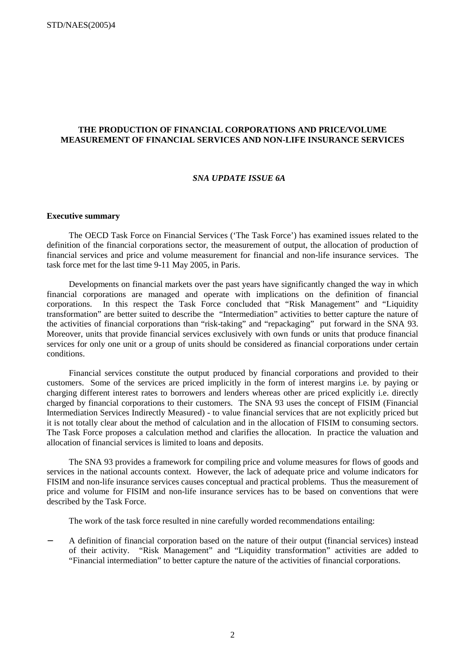#### **THE PRODUCTION OF FINANCIAL CORPORATIONS AND PRICE/VOLUME MEASUREMENT OF FINANCIAL SERVICES AND NON-LIFE INSURANCE SERVICES**

#### *SNA UPDATE ISSUE 6A*

#### **Executive summary**

The OECD Task Force on Financial Services ('The Task Force') has examined issues related to the definition of the financial corporations sector, the measurement of output, the allocation of production of financial services and price and volume measurement for financial and non-life insurance services. The task force met for the last time 9-11 May 2005, in Paris.

Developments on financial markets over the past years have significantly changed the way in which financial corporations are managed and operate with implications on the definition of financial corporations. In this respect the Task Force concluded that "Risk Management" and "Liquidity transformation" are better suited to describe the "Intermediation" activities to better capture the nature of the activities of financial corporations than "risk-taking" and "repackaging" put forward in the SNA 93. Moreover, units that provide financial services exclusively with own funds or units that produce financial services for only one unit or a group of units should be considered as financial corporations under certain conditions.

Financial services constitute the output produced by financial corporations and provided to their customers. Some of the services are priced implicitly in the form of interest margins i.e. by paying or charging different interest rates to borrowers and lenders whereas other are priced explicitly i.e. directly charged by financial corporations to their customers. The SNA 93 uses the concept of FISIM (Financial Intermediation Services Indirectly Measured) - to value financial services that are not explicitly priced but it is not totally clear about the method of calculation and in the allocation of FISIM to consuming sectors. The Task Force proposes a calculation method and clarifies the allocation. In practice the valuation and allocation of financial services is limited to loans and deposits.

The SNA 93 provides a framework for compiling price and volume measures for flows of goods and services in the national accounts context. However, the lack of adequate price and volume indicators for FISIM and non-life insurance services causes conceptual and practical problems. Thus the measurement of price and volume for FISIM and non-life insurance services has to be based on conventions that were described by the Task Force.

The work of the task force resulted in nine carefully worded recommendations entailing:

− A definition of financial corporation based on the nature of their output (financial services) instead of their activity. "Risk Management" and "Liquidity transformation" activities are added to "Financial intermediation" to better capture the nature of the activities of financial corporations.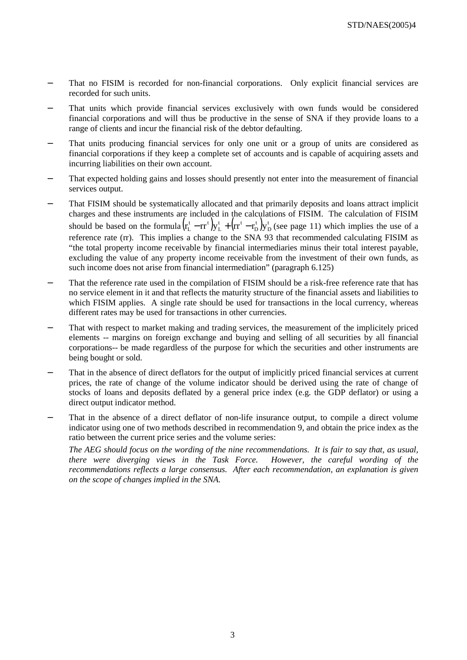- That no FISIM is recorded for non-financial corporations. Only explicit financial services are recorded for such units.
- That units which provide financial services exclusively with own funds would be considered financial corporations and will thus be productive in the sense of SNA if they provide loans to a range of clients and incur the financial risk of the debtor defaulting.
- − That units producing financial services for only one unit or a group of units are considered as financial corporations if they keep a complete set of accounts and is capable of acquiring assets and incurring liabilities on their own account.
- That expected holding gains and losses should presently not enter into the measurement of financial services output.
- That FISIM should be systematically allocated and that primarily deposits and loans attract implicit charges and these instruments are included in the calculations of FISIM. The calculation of FISIM should be based on the formula  $(r_L^t - rr^t)y_L^t + (rr^t - r_D^t)y_D^t$ t D t L<sub>un</sub>t L  $r_L^t$  –  $rr^t$   $y_L^t$  +  $(rr^t - r_b^t) y_D^t$  (see page 11) which implies the use of a reference rate (rr). This implies a change to the SNA 93 that recommended calculating FISIM as "the total property income receivable by financial intermediaries minus their total interest payable, excluding the value of any property income receivable from the investment of their own funds, as such income does not arise from financial intermediation" (paragraph 6.125)
- That the reference rate used in the compilation of FISIM should be a risk-free reference rate that has no service element in it and that reflects the maturity structure of the financial assets and liabilities to which FISIM applies. A single rate should be used for transactions in the local currency, whereas different rates may be used for transactions in other currencies.
- That with respect to market making and trading services, the measurement of the implicitely priced elements -- margins on foreign exchange and buying and selling of all securities by all financial corporations-- be made regardless of the purpose for which the securities and other instruments are being bought or sold.
- That in the absence of direct deflators for the output of implicitly priced financial services at current prices, the rate of change of the volume indicator should be derived using the rate of change of stocks of loans and deposits deflated by a general price index (e.g. the GDP deflator) or using a direct output indicator method.
- That in the absence of a direct deflator of non-life insurance output, to compile a direct volume indicator using one of two methods described in recommendation 9, and obtain the price index as the ratio between the current price series and the volume series:

*The AEG should focus on the wording of the nine recommendations. It is fair to say that, as usual, there were diverging views in the Task Force. However, the careful wording of the recommendations reflects a large consensus. After each recommendation, an explanation is given on the scope of changes implied in the SNA.*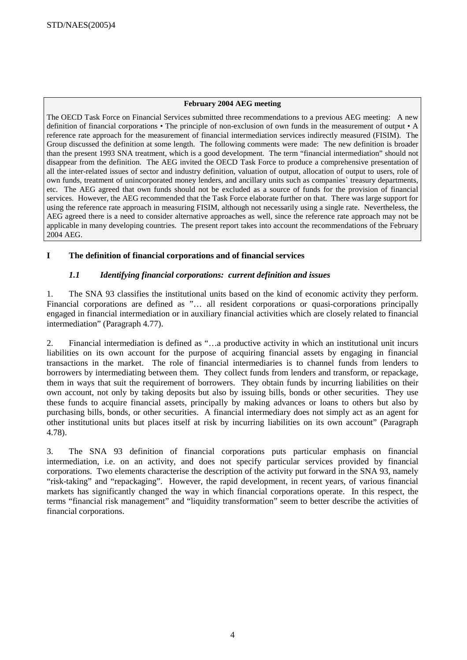## **February 2004 AEG meeting**

The OECD Task Force on Financial Services submitted three recommendations to a previous AEG meeting: A new definition of financial corporations • The principle of non-exclusion of own funds in the measurement of output • A reference rate approach for the measurement of financial intermediation services indirectly measured (FISIM). The Group discussed the definition at some length. The following comments were made: The new definition is broader than the present 1993 SNA treatment, which is a good development. The term "financial intermediation" should not disappear from the definition. The AEG invited the OECD Task Force to produce a comprehensive presentation of all the inter-related issues of sector and industry definition, valuation of output, allocation of output to users, role of own funds, treatment of unincorporated money lenders, and ancillary units such as companies` treasury departments, etc. The AEG agreed that own funds should not be excluded as a source of funds for the provision of financial services. However, the AEG recommended that the Task Force elaborate further on that. There was large support for using the reference rate approach in measuring FISIM, although not necessarily using a single rate. Nevertheless, the AEG agreed there is a need to consider alternative approaches as well, since the reference rate approach may not be applicable in many developing countries. The present report takes into account the recommendations of the February 2004 AEG.

# **I The definition of financial corporations and of financial services**

# *1.1 Identifying financial corporations: current definition and issues*

1. The SNA 93 classifies the institutional units based on the kind of economic activity they perform. Financial corporations are defined as "… all resident corporations or quasi-corporations principally engaged in financial intermediation or in auxiliary financial activities which are closely related to financial intermediation" (Paragraph 4.77).

2. Financial intermediation is defined as "…a productive activity in which an institutional unit incurs liabilities on its own account for the purpose of acquiring financial assets by engaging in financial transactions in the market. The role of financial intermediaries is to channel funds from lenders to borrowers by intermediating between them. They collect funds from lenders and transform, or repackage, them in ways that suit the requirement of borrowers. They obtain funds by incurring liabilities on their own account, not only by taking deposits but also by issuing bills, bonds or other securities. They use these funds to acquire financial assets, principally by making advances or loans to others but also by purchasing bills, bonds, or other securities. A financial intermediary does not simply act as an agent for other institutional units but places itself at risk by incurring liabilities on its own account" (Paragraph 4.78).

3. The SNA 93 definition of financial corporations puts particular emphasis on financial intermediation, i.e. on an activity, and does not specify particular services provided by financial corporations. Two elements characterise the description of the activity put forward in the SNA 93, namely "risk-taking" and "repackaging". However, the rapid development, in recent years, of various financial markets has significantly changed the way in which financial corporations operate. In this respect, the terms "financial risk management" and "liquidity transformation" seem to better describe the activities of financial corporations.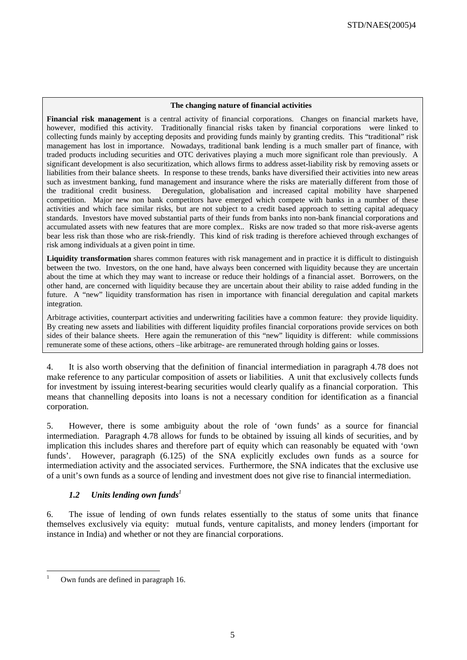#### **The changing nature of financial activities**

**Financial risk management** is a central activity of financial corporations. Changes on financial markets have, however, modified this activity. Traditionally financial risks taken by financial corporations were linked to collecting funds mainly by accepting deposits and providing funds mainly by granting credits. This "traditional" risk management has lost in importance. Nowadays, traditional bank lending is a much smaller part of finance, with traded products including securities and OTC derivatives playing a much more significant role than previously. A significant development is also securitization, which allows firms to address asset-liability risk by removing assets or liabilities from their balance sheets. In response to these trends, banks have diversified their activities into new areas such as investment banking, fund management and insurance where the risks are materially different from those of the traditional credit business. Deregulation, globalisation and increased capital mobility have sharpened competition. Major new non bank competitors have emerged which compete with banks in a number of these activities and which face similar risks, but are not subject to a credit based approach to setting capital adequacy standards. Investors have moved substantial parts of their funds from banks into non-bank financial corporations and accumulated assets with new features that are more complex.. Risks are now traded so that more risk-averse agents bear less risk than those who are risk-friendly. This kind of risk trading is therefore achieved through exchanges of risk among individuals at a given point in time.

**Liquidity transformation** shares common features with risk management and in practice it is difficult to distinguish between the two. Investors, on the one hand, have always been concerned with liquidity because they are uncertain about the time at which they may want to increase or reduce their holdings of a financial asset. Borrowers, on the other hand, are concerned with liquidity because they are uncertain about their ability to raise added funding in the future. A "new" liquidity transformation has risen in importance with financial deregulation and capital markets integration.

Arbitrage activities, counterpart activities and underwriting facilities have a common feature: they provide liquidity. By creating new assets and liabilities with different liquidity profiles financial corporations provide services on both sides of their balance sheets. Here again the remuneration of this "new" liquidity is different: while commissions remunerate some of these actions, others –like arbitrage- are remunerated through holding gains or losses.

4. It is also worth observing that the definition of financial intermediation in paragraph 4.78 does not make reference to any particular composition of assets or liabilities. A unit that exclusively collects funds for investment by issuing interest-bearing securities would clearly qualify as a financial corporation. This means that channelling deposits into loans is not a necessary condition for identification as a financial corporation.

5. However, there is some ambiguity about the role of 'own funds' as a source for financial intermediation. Paragraph 4.78 allows for funds to be obtained by issuing all kinds of securities, and by implication this includes shares and therefore part of equity which can reasonably be equated with 'own funds'. However, paragraph (6.125) of the SNA explicitly excludes own funds as a source for intermediation activity and the associated services. Furthermore, the SNA indicates that the exclusive use of a unit's own funds as a source of lending and investment does not give rise to financial intermediation.

# *1.2 Units lending own funds<sup>1</sup>*

6. The issue of lending of own funds relates essentially to the status of some units that finance themselves exclusively via equity: mutual funds, venture capitalists, and money lenders (important for instance in India) and whether or not they are financial corporations.

 $\overline{a}$ 

<sup>1</sup> Own funds are defined in paragraph 16.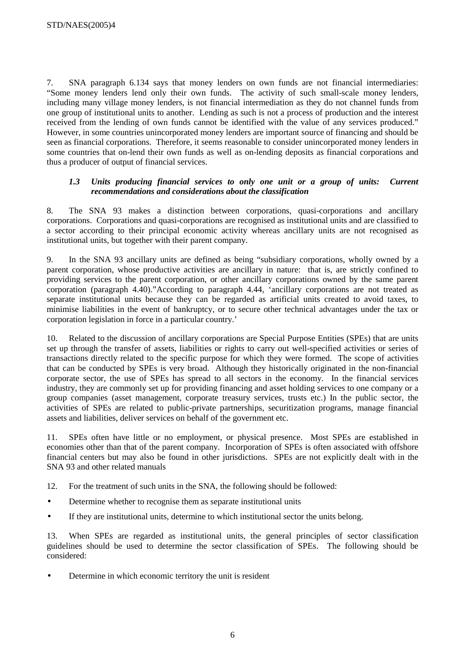7. SNA paragraph 6.134 says that money lenders on own funds are not financial intermediaries: "Some money lenders lend only their own funds. The activity of such small-scale money lenders, including many village money lenders, is not financial intermediation as they do not channel funds from one group of institutional units to another. Lending as such is not a process of production and the interest received from the lending of own funds cannot be identified with the value of any services produced." However, in some countries unincorporated money lenders are important source of financing and should be seen as financial corporations. Therefore, it seems reasonable to consider unincorporated money lenders in some countries that on-lend their own funds as well as on-lending deposits as financial corporations and thus a producer of output of financial services.

# 1.3 Units producing financial services to only one unit or a group of units: Current *recommendations and considerations about the classification*

8. The SNA 93 makes a distinction between corporations, quasi-corporations and ancillary corporations. Corporations and quasi-corporations are recognised as institutional units and are classified to a sector according to their principal economic activity whereas ancillary units are not recognised as institutional units, but together with their parent company.

9. In the SNA 93 ancillary units are defined as being "subsidiary corporations, wholly owned by a parent corporation, whose productive activities are ancillary in nature: that is, are strictly confined to providing services to the parent corporation, or other ancillary corporations owned by the same parent corporation (paragraph 4.40)."According to paragraph 4.44, 'ancillary corporations are not treated as separate institutional units because they can be regarded as artificial units created to avoid taxes, to minimise liabilities in the event of bankruptcy, or to secure other technical advantages under the tax or corporation legislation in force in a particular country.'

10. Related to the discussion of ancillary corporations are Special Purpose Entities (SPEs) that are units set up through the transfer of assets, liabilities or rights to carry out well-specified activities or series of transactions directly related to the specific purpose for which they were formed. The scope of activities that can be conducted by SPEs is very broad. Although they historically originated in the non-financial corporate sector, the use of SPEs has spread to all sectors in the economy. In the financial services industry, they are commonly set up for providing financing and asset holding services to one company or a group companies (asset management, corporate treasury services, trusts etc.) In the public sector, the activities of SPEs are related to public-private partnerships, securitization programs, manage financial assets and liabilities, deliver services on behalf of the government etc.

11. SPEs often have little or no employment, or physical presence. Most SPEs are established in economies other than that of the parent company. Incorporation of SPEs is often associated with offshore financial centers but may also be found in other jurisdictions. SPEs are not explicitly dealt with in the SNA 93 and other related manuals

- 12. For the treatment of such units in the SNA, the following should be followed:
- Determine whether to recognise them as separate institutional units
- If they are institutional units, determine to which institutional sector the units belong.

13. When SPEs are regarded as institutional units, the general principles of sector classification guidelines should be used to determine the sector classification of SPEs. The following should be considered:

Determine in which economic territory the unit is resident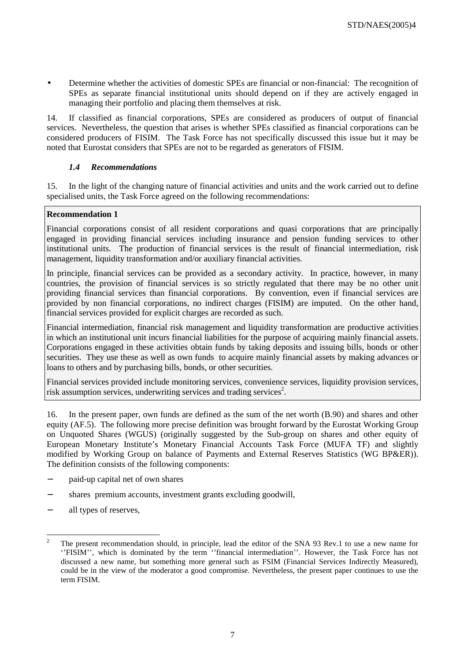• Determine whether the activities of domestic SPEs are financial or non-financial: The recognition of SPEs as separate financial institutional units should depend on if they are actively engaged in managing their portfolio and placing them themselves at risk.

14. If classified as financial corporations, SPEs are considered as producers of output of financial services. Nevertheless, the question that arises is whether SPEs classified as financial corporations can be considered producers of FISIM. The Task Force has not specifically discussed this issue but it may be noted that Eurostat considers that SPEs are not to be regarded as generators of FISIM.

# *1.4 Recommendations*

15. In the light of the changing nature of financial activities and units and the work carried out to define specialised units, the Task Force agreed on the following recommendations:

# **Recommendation 1**

Financial corporations consist of all resident corporations and quasi corporations that are principally engaged in providing financial services including insurance and pension funding services to other institutional units. The production of financial services is the result of financial intermediation, risk management, liquidity transformation and/or auxiliary financial activities.

In principle, financial services can be provided as a secondary activity. In practice, however, in many countries, the provision of financial services is so strictly regulated that there may be no other unit providing financial services than financial corporations. By convention, even if financial services are provided by non financial corporations, no indirect charges (FISIM) are imputed. On the other hand, financial services provided for explicit charges are recorded as such.

Financial intermediation, financial risk management and liquidity transformation are productive activities in which an institutional unit incurs financial liabilities for the purpose of acquiring mainly financial assets. Corporations engaged in these activities obtain funds by taking deposits and issuing bills, bonds or other securities. They use these as well as own funds to acquire mainly financial assets by making advances or loans to others and by purchasing bills, bonds, or other securities.

Financial services provided include monitoring services, convenience services, liquidity provision services, risk assumption services, underwriting services and trading services<sup>2</sup>.

16. In the present paper, own funds are defined as the sum of the net worth (B.90) and shares and other equity (AF.5). The following more precise definition was brought forward by the Eurostat Working Group on Unquoted Shares (WGUS) (originally suggested by the Sub-group on shares and other equity of European Monetary Institute's Monetary Financial Accounts Task Force (MUFA TF) and slightly modified by Working Group on balance of Payments and External Reserves Statistics (WG BP&ER)). The definition consists of the following components:

- − paid-up capital net of own shares
- shares premium accounts, investment grants excluding goodwill,
- all types of reserves,

 $\frac{1}{2}$  The present recommendation should, in principle, lead the editor of the SNA 93 Rev.1 to use a new name for ''FISIM'', which is dominated by the term ''financial intermediation''. However, the Task Force has not discussed a new name, but something more general such as FSIM (Financial Services Indirectly Measured), could be in the view of the moderator a good compromise. Nevertheless, the present paper continues to use the term FISIM.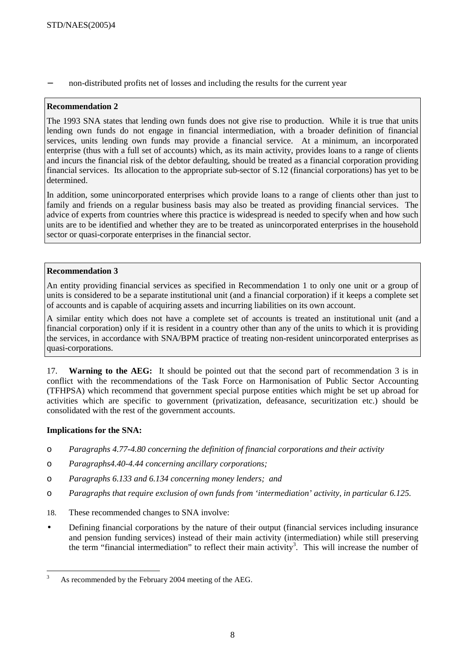non-distributed profits net of losses and including the results for the current year

## **Recommendation 2**

The 1993 SNA states that lending own funds does not give rise to production. While it is true that units lending own funds do not engage in financial intermediation, with a broader definition of financial services, units lending own funds may provide a financial service. At a minimum, an incorporated enterprise (thus with a full set of accounts) which, as its main activity, provides loans to a range of clients and incurs the financial risk of the debtor defaulting, should be treated as a financial corporation providing financial services. Its allocation to the appropriate sub-sector of S.12 (financial corporations) has yet to be determined.

In addition, some unincorporated enterprises which provide loans to a range of clients other than just to family and friends on a regular business basis may also be treated as providing financial services. The advice of experts from countries where this practice is widespread is needed to specify when and how such units are to be identified and whether they are to be treated as unincorporated enterprises in the household sector or quasi-corporate enterprises in the financial sector.

## **Recommendation 3**

An entity providing financial services as specified in Recommendation 1 to only one unit or a group of units is considered to be a separate institutional unit (and a financial corporation) if it keeps a complete set of accounts and is capable of acquiring assets and incurring liabilities on its own account.

A similar entity which does not have a complete set of accounts is treated an institutional unit (and a financial corporation) only if it is resident in a country other than any of the units to which it is providing the services, in accordance with SNA/BPM practice of treating non-resident unincorporated enterprises as quasi-corporations.

17. **Warning to the AEG:** It should be pointed out that the second part of recommendation 3 is in conflict with the recommendations of the Task Force on Harmonisation of Public Sector Accounting (TFHPSA) which recommend that government special purpose entities which might be set up abroad for activities which are specific to government (privatization, defeasance, securitization etc.) should be consolidated with the rest of the government accounts.

## **Implications for the SNA:**

 $\overline{a}$ 

- o *Paragraphs 4.77-4.80 concerning the definition of financial corporations and their activity*
- o *Paragraphs4.40-4.44 concerning ancillary corporations;*
- o *Paragraphs 6.133 and 6.134 concerning money lenders; and*
- o *Paragraphs that require exclusion of own funds from 'intermediation' activity, in particular 6.125.*
- 18. These recommended changes to SNA involve:
- Defining financial corporations by the nature of their output (financial services including insurance and pension funding services) instead of their main activity (intermediation) while still preserving the term "financial intermediation" to reflect their main activity<sup>3</sup>. This will increase the number of

<sup>3</sup> As recommended by the February 2004 meeting of the AEG.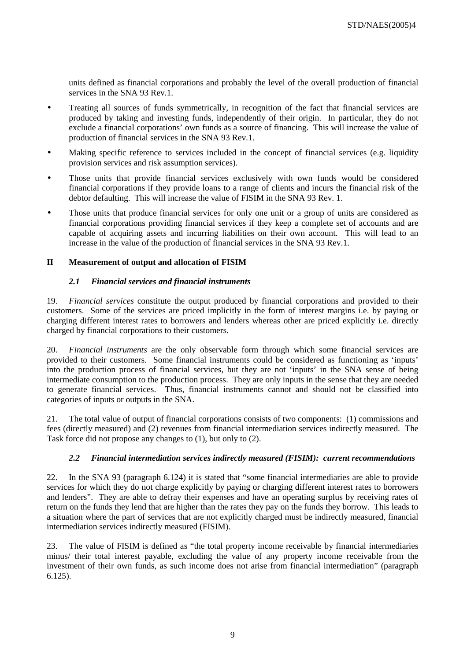units defined as financial corporations and probably the level of the overall production of financial services in the SNA 93 Rev.1.

- Treating all sources of funds symmetrically, in recognition of the fact that financial services are produced by taking and investing funds, independently of their origin. In particular, they do not exclude a financial corporations' own funds as a source of financing. This will increase the value of production of financial services in the SNA 93 Rev.1.
- Making specific reference to services included in the concept of financial services (e.g. liquidity provision services and risk assumption services).
- Those units that provide financial services exclusively with own funds would be considered financial corporations if they provide loans to a range of clients and incurs the financial risk of the debtor defaulting. This will increase the value of FISIM in the SNA 93 Rev. 1.
- Those units that produce financial services for only one unit or a group of units are considered as financial corporations providing financial services if they keep a complete set of accounts and are capable of acquiring assets and incurring liabilities on their own account. This will lead to an increase in the value of the production of financial services in the SNA 93 Rev.1.

## **II Measurement of output and allocation of FISIM**

## *2.1 Financial services and financial instruments*

19. *Financial services* constitute the output produced by financial corporations and provided to their customers. Some of the services are priced implicitly in the form of interest margins i.e. by paying or charging different interest rates to borrowers and lenders whereas other are priced explicitly i.e. directly charged by financial corporations to their customers.

20. *Financial instruments* are the only observable form through which some financial services are provided to their customers. Some financial instruments could be considered as functioning as 'inputs' into the production process of financial services, but they are not 'inputs' in the SNA sense of being intermediate consumption to the production process. They are only inputs in the sense that they are needed to generate financial services. Thus, financial instruments cannot and should not be classified into categories of inputs or outputs in the SNA.

21. The total value of output of financial corporations consists of two components: (1) commissions and fees (directly measured) and (2) revenues from financial intermediation services indirectly measured. The Task force did not propose any changes to (1), but only to (2).

## *2.2 Financial intermediation services indirectly measured (FISIM): current recommendations*

22. In the SNA 93 (paragraph 6.124) it is stated that "some financial intermediaries are able to provide services for which they do not charge explicitly by paying or charging different interest rates to borrowers and lenders". They are able to defray their expenses and have an operating surplus by receiving rates of return on the funds they lend that are higher than the rates they pay on the funds they borrow. This leads to a situation where the part of services that are not explicitly charged must be indirectly measured, financial intermediation services indirectly measured (FISIM).

23. The value of FISIM is defined as "the total property income receivable by financial intermediaries minus/ their total interest payable, excluding the value of any property income receivable from the investment of their own funds, as such income does not arise from financial intermediation" (paragraph 6.125).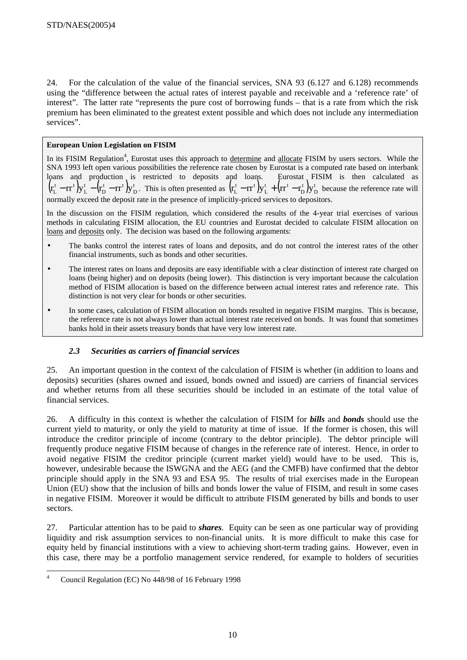24. For the calculation of the value of the financial services, SNA 93 (6.127 and 6.128) recommends using the "difference between the actual rates of interest payable and receivable and a 'reference rate' of interest". The latter rate "represents the pure cost of borrowing funds – that is a rate from which the risk premium has been eliminated to the greatest extent possible and which does not include any intermediation services".

## **European Union Legislation on FISIM**

In its FISIM Regulation<sup>4</sup>, Eurostat uses this approach to determine and allocate FISIM by users sectors. While the SNA 1993 left open various possibilities the reference rate chosen by Eurostat is a computed rate based on interbank loans and production is restricted to deposits and loans. Eurostat FISIM is then calculated as  $\left(\mathbf{r}^\mathrm{t}_\mathrm{L}-\mathbf{r}\mathrm{r}^\mathrm{t}\right)\!\mathbf{y}_\mathrm{L}^\mathrm{t}-\!\left(\!\mathbf{r}^\mathrm{t}_\mathrm{D}-\mathbf{r}\mathrm{r}^\mathrm{t}\right)\!\mathbf{y}_\mathrm{D}^\mathrm{t}$ t <sub>me</sub>t D t L  $r_{\rm L}^{\rm t}-r r^{\rm t}\, {\rm )y}_{\rm L}^{\rm t}$   $-{\rm (r_{\rm D}^{\rm t}-r r^{\rm t})y}_{\rm D}^{\rm t}$  . This is often presented as  ${\rm (r_{\rm L}^{\rm t}-r r^{\rm t})y}_{\rm L}^{\rm t}$   $+{\rm (r r^{\rm t}-r_{\rm D}^{\rm t})y}_{\rm D}^{\rm t}$ t D t l<sub>an</sub>t L  $r_{\rm L}^{\rm t}$  –  $rr^{\rm t}$  )y<sub>L</sub> +  $\left(\rm{rr^{t}} - \rm{r_{D}^{t}}\,\right)$  because the reference rate will normally exceed the deposit rate in the presence of implicitly-priced services to depositors.

In the discussion on the FISIM regulation, which considered the results of the 4-year trial exercises of various methods in calculating FISIM allocation, the EU countries and Eurostat decided to calculate FISIM allocation on loans and deposits only. The decision was based on the following arguments:

- The banks control the interest rates of loans and deposits, and do not control the interest rates of the other financial instruments, such as bonds and other securities.
- The interest rates on loans and deposits are easy identifiable with a clear distinction of interest rate charged on loans (being higher) and on deposits (being lower). This distinction is very important because the calculation method of FISIM allocation is based on the difference between actual interest rates and reference rate. This distinction is not very clear for bonds or other securities.
- In some cases, calculation of FISIM allocation on bonds resulted in negative FISIM margins. This is because, the reference rate is not always lower than actual interest rate received on bonds. It was found that sometimes banks hold in their assets treasury bonds that have very low interest rate.

## *2.3 Securities as carriers of financial services*

25. An important question in the context of the calculation of FISIM is whether (in addition to loans and deposits) securities (shares owned and issued, bonds owned and issued) are carriers of financial services and whether returns from all these securities should be included in an estimate of the total value of financial services.

26. A difficulty in this context is whether the calculation of FISIM for *bills* and *bonds* should use the current yield to maturity, or only the yield to maturity at time of issue. If the former is chosen, this will introduce the creditor principle of income (contrary to the debtor principle). The debtor principle will frequently produce negative FISIM because of changes in the reference rate of interest. Hence, in order to avoid negative FISIM the creditor principle (current market yield) would have to be used. This is, however, undesirable because the ISWGNA and the AEG (and the CMFB) have confirmed that the debtor principle should apply in the SNA 93 and ESA 95. The results of trial exercises made in the European Union (EU) show that the inclusion of bills and bonds lower the value of FISIM, and result in some cases in negative FISIM. Moreover it would be difficult to attribute FISIM generated by bills and bonds to user sectors.

27. Particular attention has to be paid to *shares*. Equity can be seen as one particular way of providing liquidity and risk assumption services to non-financial units. It is more difficult to make this case for equity held by financial institutions with a view to achieving short-term trading gains. However, even in this case, there may be a portfolio management service rendered, for example to holders of securities

 $\overline{a}$ 4 Council Regulation (EC) No 448/98 of 16 February 1998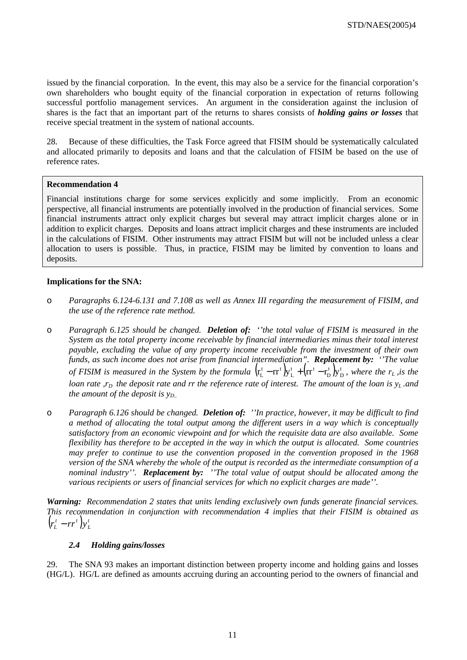issued by the financial corporation. In the event, this may also be a service for the financial corporation's own shareholders who bought equity of the financial corporation in expectation of returns following successful portfolio management services. An argument in the consideration against the inclusion of shares is the fact that an important part of the returns to shares consists of *holding gains or losses* that receive special treatment in the system of national accounts.

28. Because of these difficulties, the Task Force agreed that FISIM should be systematically calculated and allocated primarily to deposits and loans and that the calculation of FISIM be based on the use of reference rates.

## **Recommendation 4**

Financial institutions charge for some services explicitly and some implicitly. From an economic perspective, all financial instruments are potentially involved in the production of financial services. Some financial instruments attract only explicit charges but several may attract implicit charges alone or in addition to explicit charges. Deposits and loans attract implicit charges and these instruments are included in the calculations of FISIM. Other instruments may attract FISIM but will not be included unless a clear allocation to users is possible. Thus, in practice, FISIM may be limited by convention to loans and deposits.

#### **Implications for the SNA:**

- o *Paragraphs 6.124-6.131 and 7.108 as well as Annex III regarding the measurement of FISIM, and the use of the reference rate method.*
- o *Paragraph 6.125 should be changed. Deletion of: ''the total value of FISIM is measured in the System as the total property income receivable by financial intermediaries minus their total interest payable, excluding the value of any property income receivable from the investment of their own funds, as such income does not arise from financial intermediation". Replacement by: ''The value of FISIM is measured in the System by the formula*  $(r_L^t - r_T^t)y_L^t + (r_T^t - r_D^t)y_D^t$ t D t  $\int_{\mathbf{r}^*}$ t L  $r_{\rm L}^{\rm t}-rr^{\rm t}\big){\rm y}_{\rm L}^{\rm t}+\left({\rm rr}^{\rm t}-r_{\rm D}^{\rm t}\right){\rm y}_{\rm D}^{\rm t}$ , where the  $r_{\rm L}$ , is the *loan rate*,  $r<sub>D</sub>$  the deposit rate and rr the reference rate of interest. The amount of the loan is  $y<sub>L</sub>$  and *the amount of the deposit is yD..*
- o *Paragraph 6.126 should be changed. Deletion of: ''In practice, however, it may be difficult to find a method of allocating the total output among the different users in a way which is conceptually satisfactory from an economic viewpoint and for which the requisite data are also available. Some flexibility has therefore to be accepted in the way in which the output is allocated. Some countries may prefer to continue to use the convention proposed in the convention proposed in the 1968 version of the SNA whereby the whole of the output is recorded as the intermediate consumption of a nominal industry''. Replacement by: ''The total value of output should be allocated among the various recipients or users of financial services for which no explicit charges are made''.*

*Warning: Recommendation 2 states that units lending exclusively own funds generate financial services. This recommendation in conjunction with recommendation 4 implies that their FISIM is obtained as*   $(r_L^t - rr^t)y_L^t$  $r_L^t$  −  $rr^t$  )y

## *2.4 Holding gains/losses*

29. The SNA 93 makes an important distinction between property income and holding gains and losses (HG/L). HG/L are defined as amounts accruing during an accounting period to the owners of financial and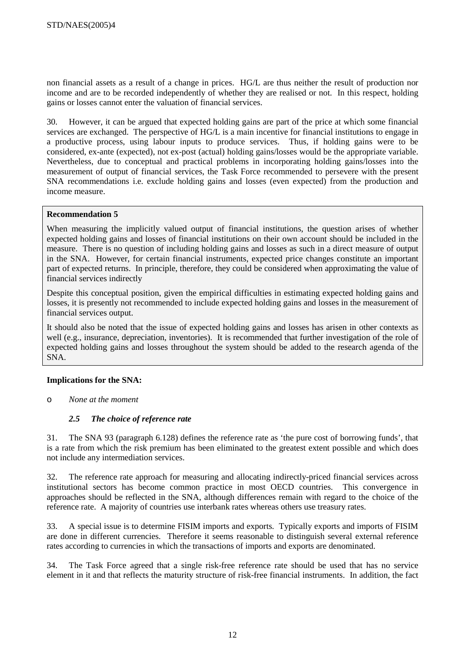non financial assets as a result of a change in prices. HG/L are thus neither the result of production nor income and are to be recorded independently of whether they are realised or not. In this respect, holding gains or losses cannot enter the valuation of financial services.

30. However, it can be argued that expected holding gains are part of the price at which some financial services are exchanged. The perspective of HG/L is a main incentive for financial institutions to engage in a productive process, using labour inputs to produce services. Thus, if holding gains were to be considered, ex-ante (expected), not ex-post (actual) holding gains/losses would be the appropriate variable. Nevertheless, due to conceptual and practical problems in incorporating holding gains/losses into the measurement of output of financial services, the Task Force recommended to persevere with the present SNA recommendations i.e. exclude holding gains and losses (even expected) from the production and income measure.

## **Recommendation 5**

When measuring the implicitly valued output of financial institutions, the question arises of whether expected holding gains and losses of financial institutions on their own account should be included in the measure. There is no question of including holding gains and losses as such in a direct measure of output in the SNA. However, for certain financial instruments, expected price changes constitute an important part of expected returns. In principle, therefore, they could be considered when approximating the value of financial services indirectly

Despite this conceptual position, given the empirical difficulties in estimating expected holding gains and losses, it is presently not recommended to include expected holding gains and losses in the measurement of financial services output.

It should also be noted that the issue of expected holding gains and losses has arisen in other contexts as well (e.g., insurance, depreciation, inventories). It is recommended that further investigation of the role of expected holding gains and losses throughout the system should be added to the research agenda of the SNA.

## **Implications for the SNA:**

o *None at the moment* 

## *2.5 The choice of reference rate*

31. The SNA 93 (paragraph 6.128) defines the reference rate as 'the pure cost of borrowing funds', that is a rate from which the risk premium has been eliminated to the greatest extent possible and which does not include any intermediation services.

32. The reference rate approach for measuring and allocating indirectly-priced financial services across institutional sectors has become common practice in most OECD countries. This convergence in approaches should be reflected in the SNA, although differences remain with regard to the choice of the reference rate. A majority of countries use interbank rates whereas others use treasury rates.

33. A special issue is to determine FISIM imports and exports. Typically exports and imports of FISIM are done in different currencies. Therefore it seems reasonable to distinguish several external reference rates according to currencies in which the transactions of imports and exports are denominated.

34. The Task Force agreed that a single risk-free reference rate should be used that has no service element in it and that reflects the maturity structure of risk-free financial instruments. In addition, the fact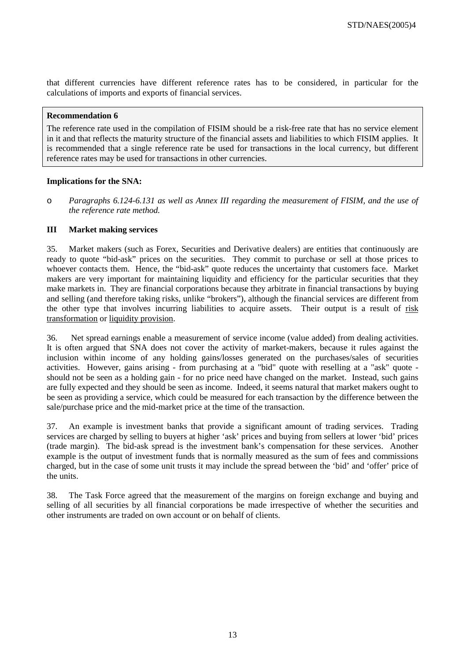that different currencies have different reference rates has to be considered, in particular for the calculations of imports and exports of financial services.

#### **Recommendation 6**

The reference rate used in the compilation of FISIM should be a risk-free rate that has no service element in it and that reflects the maturity structure of the financial assets and liabilities to which FISIM applies. It is recommended that a single reference rate be used for transactions in the local currency, but different reference rates may be used for transactions in other currencies.

## **Implications for the SNA:**

o *Paragraphs 6.124-6.131 as well as Annex III regarding the measurement of FISIM, and the use of the reference rate method.* 

## **III Market making services**

35. Market makers (such as Forex, Securities and Derivative dealers) are entities that continuously are ready to quote "bid-ask" prices on the securities. They commit to purchase or sell at those prices to whoever contacts them. Hence, the "bid-ask" quote reduces the uncertainty that customers face. Market makers are very important for maintaining liquidity and efficiency for the particular securities that they make markets in. They are financial corporations because they arbitrate in financial transactions by buying and selling (and therefore taking risks, unlike "brokers"), although the financial services are different from the other type that involves incurring liabilities to acquire assets. Their output is a result of risk transformation or liquidity provision.

36. Net spread earnings enable a measurement of service income (value added) from dealing activities. It is often argued that SNA does not cover the activity of market-makers, because it rules against the inclusion within income of any holding gains/losses generated on the purchases/sales of securities activities. However, gains arising - from purchasing at a "bid" quote with reselling at a "ask" quote should not be seen as a holding gain - for no price need have changed on the market. Instead, such gains are fully expected and they should be seen as income. Indeed, it seems natural that market makers ought to be seen as providing a service, which could be measured for each transaction by the difference between the sale/purchase price and the mid-market price at the time of the transaction.

37. An example is investment banks that provide a significant amount of trading services. Trading services are charged by selling to buyers at higher 'ask' prices and buying from sellers at lower 'bid' prices (trade margin). The bid-ask spread is the investment bank's compensation for these services. Another example is the output of investment funds that is normally measured as the sum of fees and commissions charged, but in the case of some unit trusts it may include the spread between the 'bid' and 'offer' price of the units.

38. The Task Force agreed that the measurement of the margins on foreign exchange and buying and selling of all securities by all financial corporations be made irrespective of whether the securities and other instruments are traded on own account or on behalf of clients.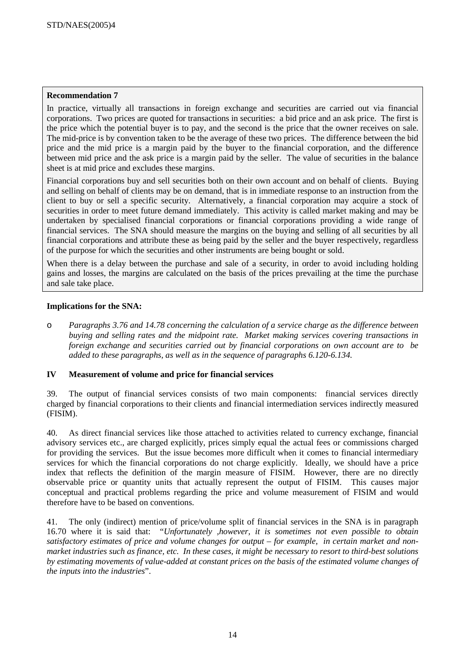## **Recommendation 7**

In practice, virtually all transactions in foreign exchange and securities are carried out via financial corporations. Two prices are quoted for transactions in securities: a bid price and an ask price. The first is the price which the potential buyer is to pay, and the second is the price that the owner receives on sale. The mid-price is by convention taken to be the average of these two prices. The difference between the bid price and the mid price is a margin paid by the buyer to the financial corporation, and the difference between mid price and the ask price is a margin paid by the seller. The value of securities in the balance sheet is at mid price and excludes these margins.

Financial corporations buy and sell securities both on their own account and on behalf of clients. Buying and selling on behalf of clients may be on demand, that is in immediate response to an instruction from the client to buy or sell a specific security. Alternatively, a financial corporation may acquire a stock of securities in order to meet future demand immediately. This activity is called market making and may be undertaken by specialised financial corporations or financial corporations providing a wide range of financial services. The SNA should measure the margins on the buying and selling of all securities by all financial corporations and attribute these as being paid by the seller and the buyer respectively, regardless of the purpose for which the securities and other instruments are being bought or sold.

When there is a delay between the purchase and sale of a security, in order to avoid including holding gains and losses, the margins are calculated on the basis of the prices prevailing at the time the purchase and sale take place.

# **Implications for the SNA:**

o *Paragraphs 3.76 and 14.78 concerning the calculation of a service charge as the difference between buying and selling rates and the midpoint rate. Market making services covering transactions in foreign exchange and securities carried out by financial corporations on own account are to be added to these paragraphs, as well as in the sequence of paragraphs 6.120-6.134.* 

## **IV Measurement of volume and price for financial services**

39. The output of financial services consists of two main components: financial services directly charged by financial corporations to their clients and financial intermediation services indirectly measured (FISIM).

40. As direct financial services like those attached to activities related to currency exchange, financial advisory services etc., are charged explicitly, prices simply equal the actual fees or commissions charged for providing the services. But the issue becomes more difficult when it comes to financial intermediary services for which the financial corporations do not charge explicitly. Ideally, we should have a price index that reflects the definition of the margin measure of FISIM. However, there are no directly observable price or quantity units that actually represent the output of FISIM. This causes major conceptual and practical problems regarding the price and volume measurement of FISIM and would therefore have to be based on conventions.

41. The only (indirect) mention of price/volume split of financial services in the SNA is in paragraph 16.70 where it is said that: "*Unfortunately ,however, it is sometimes not even possible to obtain satisfactory estimates of price and volume changes for output – for example, in certain market and nonmarket industries such as finance, etc. In these cases, it might be necessary to resort to third-best solutions by estimating movements of value-added at constant prices on the basis of the estimated volume changes of the inputs into the industries*".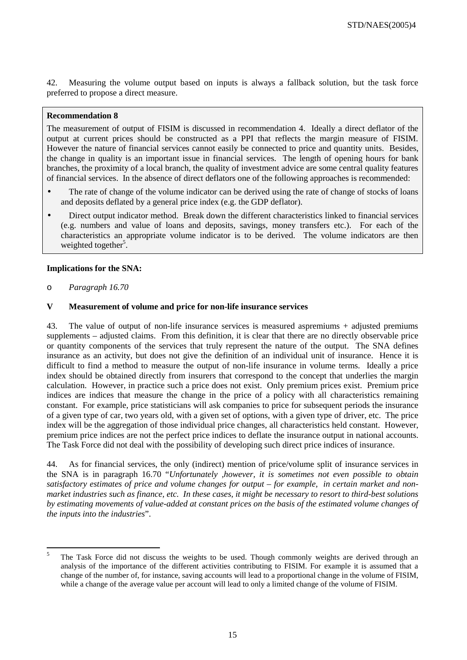42. Measuring the volume output based on inputs is always a fallback solution, but the task force preferred to propose a direct measure.

#### **Recommendation 8**

The measurement of output of FISIM is discussed in recommendation 4. Ideally a direct deflator of the output at current prices should be constructed as a PPI that reflects the margin measure of FISIM. However the nature of financial services cannot easily be connected to price and quantity units. Besides, the change in quality is an important issue in financial services. The length of opening hours for bank branches, the proximity of a local branch, the quality of investment advice are some central quality features of financial services. In the absence of direct deflators one of the following approaches is recommended:

- The rate of change of the volume indicator can be derived using the rate of change of stocks of loans and deposits deflated by a general price index (e.g. the GDP deflator).
- Direct output indicator method. Break down the different characteristics linked to financial services (e.g. numbers and value of loans and deposits, savings, money transfers etc.). For each of the characteristics an appropriate volume indicator is to be derived. The volume indicators are then weighted together<sup>5</sup>.

## **Implications for the SNA:**

o *Paragraph 16.70* 

#### **V Measurement of volume and price for non-life insurance services**

43. The value of output of non-life insurance services is measured aspremiums + adjusted premiums supplements – adjusted claims. From this definition, it is clear that there are no directly observable price or quantity components of the services that truly represent the nature of the output. The SNA defines insurance as an activity, but does not give the definition of an individual unit of insurance. Hence it is difficult to find a method to measure the output of non-life insurance in volume terms. Ideally a price index should be obtained directly from insurers that correspond to the concept that underlies the margin calculation. However, in practice such a price does not exist. Only premium prices exist. Premium price indices are indices that measure the change in the price of a policy with all characteristics remaining constant. For example, price statisticians will ask companies to price for subsequent periods the insurance of a given type of car, two years old, with a given set of options, with a given type of driver, etc. The price index will be the aggregation of those individual price changes, all characteristics held constant. However, premium price indices are not the perfect price indices to deflate the insurance output in national accounts. The Task Force did not deal with the possibility of developing such direct price indices of insurance.

44. As for financial services, the only (indirect) mention of price/volume split of insurance services in the SNA is in paragraph 16.70 "*Unfortunately ,however, it is sometimes not even possible to obtain satisfactory estimates of price and volume changes for output – for example, in certain market and nonmarket industries such as finance, etc. In these cases, it might be necessary to resort to third-best solutions by estimating movements of value-added at constant prices on the basis of the estimated volume changes of the inputs into the industries*".

<sup>5</sup> <sup>5</sup> The Task Force did not discuss the weights to be used. Though commonly weights are derived through an analysis of the importance of the different activities contributing to FISIM. For example it is assumed that a change of the number of, for instance, saving accounts will lead to a proportional change in the volume of FISIM, while a change of the average value per account will lead to only a limited change of the volume of FISIM.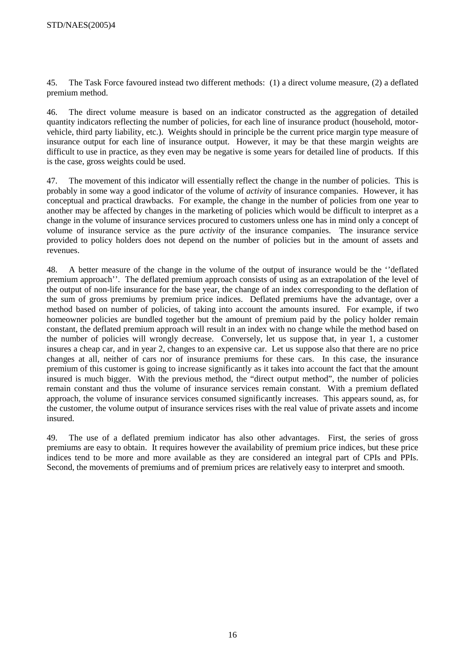45. The Task Force favoured instead two different methods: (1) a direct volume measure, (2) a deflated premium method.

46. The direct volume measure is based on an indicator constructed as the aggregation of detailed quantity indicators reflecting the number of policies, for each line of insurance product (household, motorvehicle, third party liability, etc.). Weights should in principle be the current price margin type measure of insurance output for each line of insurance output. However, it may be that these margin weights are difficult to use in practice, as they even may be negative is some years for detailed line of products. If this is the case, gross weights could be used.

47. The movement of this indicator will essentially reflect the change in the number of policies. This is probably in some way a good indicator of the volume of *activity* of insurance companies. However, it has conceptual and practical drawbacks. For example, the change in the number of policies from one year to another may be affected by changes in the marketing of policies which would be difficult to interpret as a change in the volume of insurance services procured to customers unless one has in mind only a concept of volume of insurance service as the pure *activity* of the insurance companies. The insurance service provided to policy holders does not depend on the number of policies but in the amount of assets and revenues.

48. A better measure of the change in the volume of the output of insurance would be the ''deflated premium approach''. The deflated premium approach consists of using as an extrapolation of the level of the output of non-life insurance for the base year, the change of an index corresponding to the deflation of the sum of gross premiums by premium price indices. Deflated premiums have the advantage, over a method based on number of policies, of taking into account the amounts insured. For example, if two homeowner policies are bundled together but the amount of premium paid by the policy holder remain constant, the deflated premium approach will result in an index with no change while the method based on the number of policies will wrongly decrease. Conversely, let us suppose that, in year 1, a customer insures a cheap car, and in year 2, changes to an expensive car. Let us suppose also that there are no price changes at all, neither of cars nor of insurance premiums for these cars. In this case, the insurance premium of this customer is going to increase significantly as it takes into account the fact that the amount insured is much bigger. With the previous method, the "direct output method", the number of policies remain constant and thus the volume of insurance services remain constant. With a premium deflated approach, the volume of insurance services consumed significantly increases. This appears sound, as, for the customer, the volume output of insurance services rises with the real value of private assets and income insured.

49. The use of a deflated premium indicator has also other advantages. First, the series of gross premiums are easy to obtain. It requires however the availability of premium price indices, but these price indices tend to be more and more available as they are considered an integral part of CPIs and PPIs. Second, the movements of premiums and of premium prices are relatively easy to interpret and smooth.